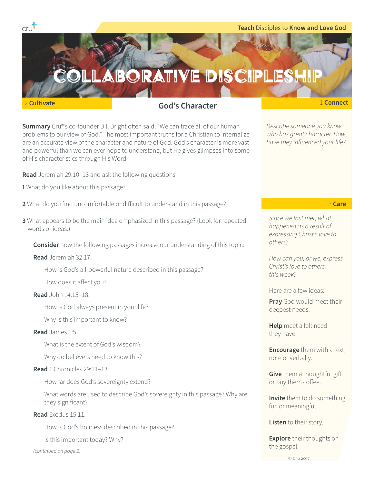



**Summary** Cru®'s co-founder Bill Bright often said, "We can trace all of our human problems to our view of God." The most important truths for a Christian to internalize are an accurate view of the character and nature of God. God's character is more vast and powerful than we can ever hope to understand, but He gives glimpses into some of His characteristics through His Word.

**Read** Jeremiah 29:10–13 and ask the following questions:

- **1** What do you like about this passage?
- **2** What do you find uncomfortable or difficult to understand in this passage?
- **3** What appears to be the main idea emphasized in this passage? (Look for repeated words or ideas.)

**Consider** how the following passages increase our understanding of this topic:

**Read** Jeremiah 32:17.

How is God's all-powerful nature described in this passage?

How does it affect you?

### **Read** John 14:15–18.

How is God always present in your life?

Why is this important to know?

### **Read** James 1:5.

What is the extent of God's wisdom?

Why do believers need to know this?

# **Read** 1 Chronicles 29:11–13.

How far does God's sovereignty extend?

What words are used to describe God's sovereignty in this passage? Why are they significant?

**Read** Exodus 15:11.

How is God's holiness described in this passage?

Is this important today? Why?

*(continued on page 2)*

*Describe someone you know who has great character. How have they influenced your life?*

3 **Care**

*Since we last met, what happened as a result of expressing Christ's love to others?*

*How can you, or we, express Christ's love to others this week?*

Here are a few ideas:

**Pray** God would meet their deepest needs.

**Help** meet a felt need they have.

**Encourage** them with a text, note or verbally.

**Give** them a thoughtful gift or buy them coffee.

**Invite** them to do something fun or meaningful.

**Listen** to their story.

**Explore** their thoughts on the gospel.